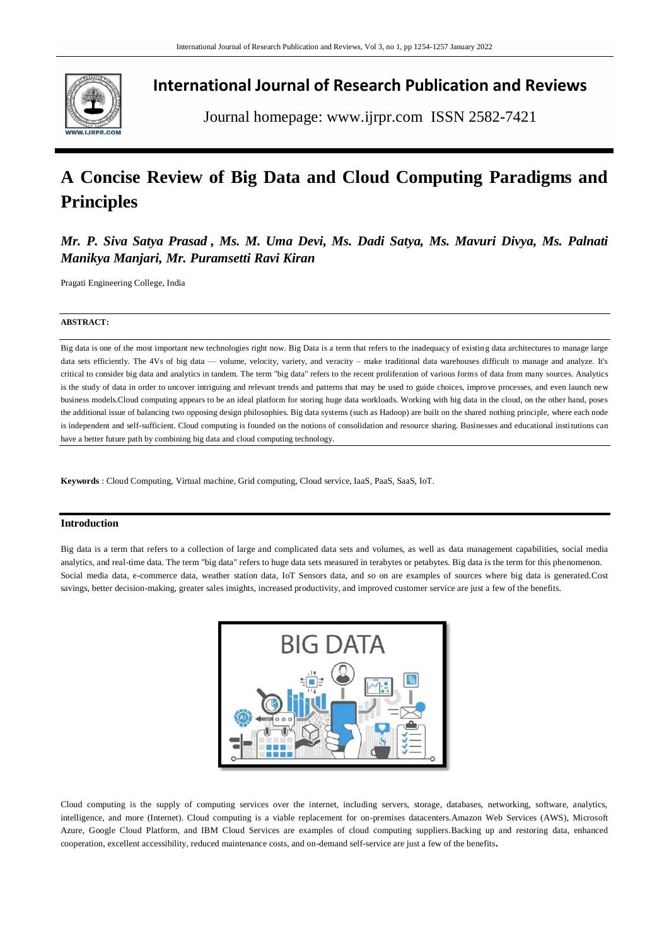

# **International Journal of Research Publication and Reviews**

Journal homepage: www.ijrpr.com ISSN 2582-7421

# **A Concise Review of Big Data and Cloud Computing Paradigms and Principles**

*Mr. P. Siva Satya Prasad , Ms. M. Uma Devi, Ms. Dadi Satya, Ms. Mavuri Divya, Ms. Palnati Manikya Manjari, Mr. Puramsetti Ravi Kiran*

Pragati Engineering College, India

# **ABSTRACT:**

Big data is one of the most important new technologies right now. Big Data is a term that refers to the inadequacy of existing data architectures to manage large data sets efficiently. The 4Vs of big data — volume, velocity, variety, and veracity - make traditional data warehouses difficult to manage and analyze. It's critical to consider big data and analytics in tandem. The term "big data" refers to the recent proliferation of various forms of data from many sources. Analytics is the study of data in order to uncover intriguing and relevant trends and patterns that may be used to guide choices, improve processes, and even launch new business models.Cloud computing appears to be an ideal platform for storing huge data workloads. Working with big data in the cloud, on the other hand, poses the additional issue of balancing two opposing design philosophies. Big data systems (such as Hadoop) are built on the shared nothing principle, where each node is independent and self-sufficient. Cloud computing is founded on the notions of consolidation and resource sharing. Businesses and educational institutions can have a better future path by combining big data and cloud computing technology.

**Keywords** : Cloud Computing, Virtual machine, Grid computing, Cloud service, IaaS, PaaS, SaaS, IoT.

# **Introduction**

Big data is a term that refers to a collection of large and complicated data sets and volumes, as well as data management capabilities, social media analytics, and real-time data. The term "big data" refers to huge data sets measured in terabytes or petabytes. Big data is the term for this phenomenon. Social media data, e-commerce data, weather station data, IoT Sensors data, and so on are examples of sources where big data is generated.Cost savings, better decision-making, greater sales insights, increased productivity, and improved customer service are just a few of the benefits.



Cloud computing is the supply of computing services over the internet, including servers, storage, databases, networking, software, analytics, intelligence, and more (Internet). Cloud computing is a viable replacement for on-premises datacenters.Amazon Web Services (AWS), Microsoft Azure, Google Cloud Platform, and IBM Cloud Services are examples of cloud computing suppliers.Backing up and restoring data, enhanced cooperation, excellent accessibility, reduced maintenance costs, and on-demand self-service are just a few of the benefits.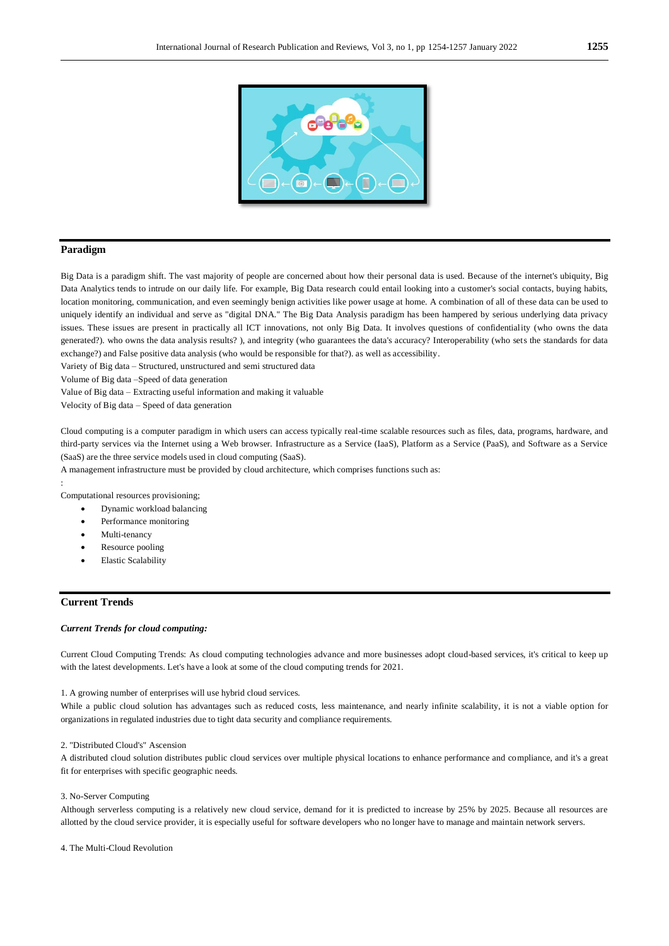

# **Paradigm**

Big Data is a paradigm shift. The vast majority of people are concerned about how their personal data is used. Because of the internet's ubiquity, Big Data Analytics tends to intrude on our daily life. For example, Big Data research could entail looking into a customer's social contacts, buying habits, location monitoring, communication, and even seemingly benign activities like power usage at home. A combination of all of these data can be used to uniquely identify an individual and serve as "digital DNA." The Big Data Analysis paradigm has been hampered by serious underlying data privacy issues. These issues are present in practically all ICT innovations, not only Big Data. It involves questions of confidentiality (who owns the data generated?). who owns the data analysis results? ), and integrity (who guarantees the data's accuracy? Interoperability (who sets the standards for data exchange?) and False positive data analysis (who would be responsible for that?). as well as accessibility.

Variety of Big data – Structured, unstructured and semi structured data

Volume of Big data –Speed of data generation

Value of Big data – Extracting useful information and making it valuable

Velocity of Big data – Speed of data generation

Cloud computing is a computer paradigm in which users can access typically real-time scalable resources such as files, data, programs, hardware, and third-party services via the Internet using a Web browser. Infrastructure as a Service (IaaS), Platform as a Service (PaaS), and Software as a Service (SaaS) are the three service models used in cloud computing (SaaS).

A management infrastructure must be provided by cloud architecture, which comprises functions such as:

: Computational resources provisioning;

- Dynamic workload balancing
- Performance monitoring
- Multi-tenancy
- Resource pooling
- Elastic Scalability

# **Current Trends**

#### *Current Trends for cloud computing:*

Current Cloud Computing Trends: As cloud computing technologies advance and more businesses adopt cloud-based services, it's critical to keep up with the latest developments. Let's have a look at some of the cloud computing trends for 2021.

1. A growing number of enterprises will use hybrid cloud services.

While a public cloud solution has advantages such as reduced costs, less maintenance, and nearly infinite scalability, it is not a viable option for organizations in regulated industries due to tight data security and compliance requirements.

# 2. "Distributed Cloud's" Ascension

A distributed cloud solution distributes public cloud services over multiple physical locations to enhance performance and compliance, and it's a great fit for enterprises with specific geographic needs.

#### 3. No-Server Computing

Although serverless computing is a relatively new cloud service, demand for it is predicted to increase by 25% by 2025. Because all resources are allotted by the cloud service provider, it is especially useful for software developers who no longer have to manage and maintain network servers.

4. The Multi-Cloud Revolution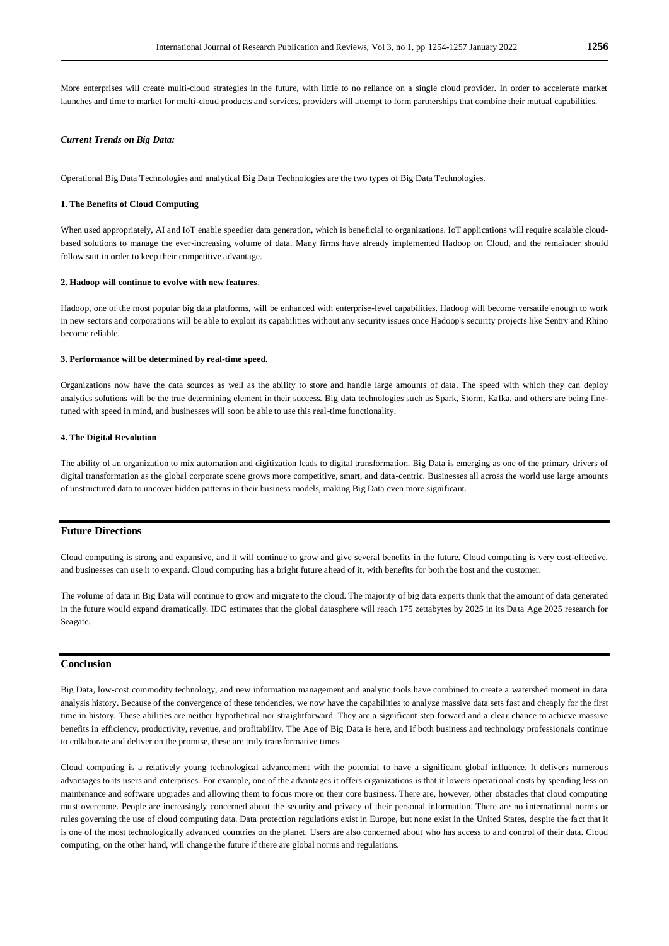More enterprises will create multi-cloud strategies in the future, with little to no reliance on a single cloud provider. In order to accelerate market launches and time to market for multi-cloud products and services, providers will attempt to form partnerships that combine their mutual capabilities.

#### *Current Trends on Big Data:*

Operational Big Data Technologies and analytical Big Data Technologies are the two types of Big Data Technologies.

#### **1. The Benefits of Cloud Computing**

When used appropriately, AI and IoT enable speedier data generation, which is beneficial to organizations. IoT applications will require scalable cloudbased solutions to manage the ever-increasing volume of data. Many firms have already implemented Hadoop on Cloud, and the remainder should follow suit in order to keep their competitive advantage.

# **2. Hadoop will continue to evolve with new features**.

Hadoop, one of the most popular big data platforms, will be enhanced with enterprise-level capabilities. Hadoop will become versatile enough to work in new sectors and corporations will be able to exploit its capabilities without any security issues once Hadoop's security projects like Sentry and Rhino become reliable.

#### **3. Performance will be determined by real-time speed.**

Organizations now have the data sources as well as the ability to store and handle large amounts of data. The speed with which they can deploy analytics solutions will be the true determining element in their success. Big data technologies such as Spark, Storm, Kafka, and others are being finetuned with speed in mind, and businesses will soon be able to use this real-time functionality.

### **4. The Digital Revolution**

The ability of an organization to mix automation and digitization leads to digital transformation. Big Data is emerging as one of the primary drivers of digital transformation as the global corporate scene grows more competitive, smart, and data-centric. Businesses all across the world use large amounts of unstructured data to uncover hidden patterns in their business models, making Big Data even more significant.

# **Future Directions**

Cloud computing is strong and expansive, and it will continue to grow and give several benefits in the future. Cloud computing is very cost-effective, and businesses can use it to expand. Cloud computing has a bright future ahead of it, with benefits for both the host and the customer.

The volume of data in Big Data will continue to grow and migrate to the cloud. The majority of big data experts think that the amount of data generated in the future would expand dramatically. IDC estimates that the global datasphere will reach 175 zettabytes by 2025 in its Data Age 2025 research for Seagate.

# **Conclusion**

Big Data, low-cost commodity technology, and new information management and analytic tools have combined to create a watershed moment in data analysis history. Because of the convergence of these tendencies, we now have the capabilities to analyze massive data sets fast and cheaply for the first time in history. These abilities are neither hypothetical nor straightforward. They are a significant step forward and a clear chance to achieve massive benefits in efficiency, productivity, revenue, and profitability. The Age of Big Data is here, and if both business and technology professionals continue to collaborate and deliver on the promise, these are truly transformative times.

Cloud computing is a relatively young technological advancement with the potential to have a significant global influence. It delivers numerous advantages to its users and enterprises. For example, one of the advantages it offers organizations is that it lowers operational costs by spending less on maintenance and software upgrades and allowing them to focus more on their core business. There are, however, other obstacles that cloud computing must overcome. People are increasingly concerned about the security and privacy of their personal information. There are no international norms or rules governing the use of cloud computing data. Data protection regulations exist in Europe, but none exist in the United States, despite the fa ct that it is one of the most technologically advanced countries on the planet. Users are also concerned about who has access to and control of their data. Cloud computing, on the other hand, will change the future if there are global norms and regulations.